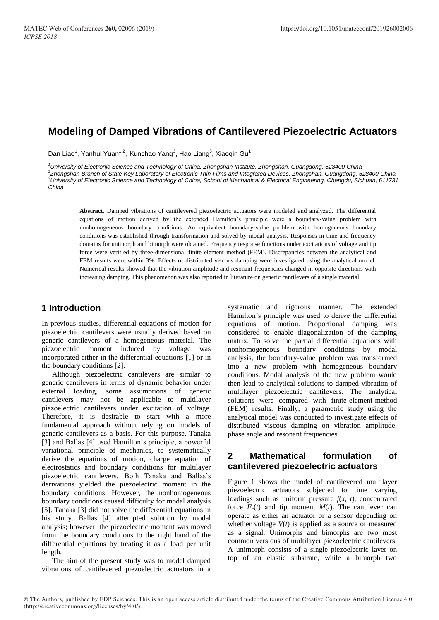# **Modeling of Damped Vibrations of Cantilevered Piezoelectric Actuators**

Dan Liao<sup>1</sup>, Yanhui Yuan<sup>1,2</sup>, Kunchao Yang<sup>3</sup>, Hao Liang<sup>3</sup>, Xiaoqin Gu<sup>1</sup>

*University of Electronic Science and Technology of China, Zhongshan Institute, Zhongshan, Guangdong, 528400 China Zhongshan Branch of State Key Laboratory of Electronic Thin Films and Integrated Devices, Zhongshan, Guangdong, 528400 China University of Electronic Science and Technology of China, School of Mechanical & Electrical Engineering, Chengdu, Sichuan, 611731 China*

**Abstract.** Damped vibrations of cantilevered piezoelectric actuators were modeled and analyzed. The differential equations of motion derived by the extended Hamilton's principle were a boundary-value problem with nonhomogeneous boundary conditions. An equivalent boundary-value problem with homogeneous boundary conditions was established through transformation and solved by modal analysis. Responses in time and frequency domains for unimorph and bimorph were obtained. Frequency response functions under excitations of voltage and tip force were verified by three-dimensional finite element method (FEM). Discrepancies between the analytical and FEM results were within 3%. Effects of distributed viscous damping were investigated using the analytical model. Numerical results showed that the vibration amplitude and resonant frequencies changed in opposite directions with increasing damping. This phenomenon was also reported in literature on generic cantilevers of a single material.

### **1 Introduction**

In previous studies, differential equations of motion for piezoelectric cantilevers were usually derived based on generic cantilevers of a homogeneous material. The piezoelectric moment induced by voltage was incorporated either in the differential equations [1] or in the boundary conditions [2].

Although piezoelectric cantilevers are similar to generic cantilevers in terms of dynamic behavior under external loading, some assumptions of generic cantilevers may not be applicable to multilayer piezoelectric cantilevers under excitation of voltage. Therefore, it is desirable to start with a more fundamental approach without relying on models of generic cantilevers as a basis. For this purpose, Tanaka [3] and Ballas [4] used Hamilton's principle, a powerful variational principle of mechanics, to systematically derive the equations of motion, charge equation of electrostatics and boundary conditions for multilayer piezoelectric cantilevers. Both Tanaka and Ballas's derivations yielded the piezoelectric moment in the boundary conditions. However, the nonhomogeneous boundary conditions caused difficulty for modal analysis [5]. Tanaka [3] did not solve the differential equations in his study. Ballas [4] attempted solution by modal analysis; however, the piezoelectric moment was moved from the boundary conditions to the right hand of the differential equations by treating it as a load per unit length.

The aim of the present study was to model damped vibrations of cantilevered piezoelectric actuators in a

systematic and rigorous manner. The extended Hamilton's principle was used to derive the differential equations of motion. Proportional damping was considered to enable diagonalization of the damping matrix. To solve the partial differential equations with nonhomogeneous boundary conditions by modal analysis, the boundary-value problem was transformed into a new problem with homogeneous boundary conditions. Modal analysis of the new problem would then lead to analytical solutions to damped vibration of multilayer piezoelectric cantilevers. The analytical solutions were compared with finite-element-method (FEM) results. Finally, a parametric study using the analytical model was conducted to investigate effects of distributed viscous damping on vibration amplitude, phase angle and resonant frequencies.

### **2 Mathematical formulation of cantilevered piezoelectric actuators**

Figure 1 shows the model of cantilevered multilayer piezoelectric actuators subjected to time varying loadings such as uniform pressure  $f(x, t)$ , concentrated force  $F_c(t)$  and tip moment  $M(t)$ . The cantilever can operate as either an actuator or a sensor depending on whether voltage  $V(t)$  is applied as a source or measured as a signal. Unimorphs and bimorphs are two most common versions of multilayer piezoelectric cantilevers. A unimorph consists of a single piezoelectric layer on top of an elastic substrate, while a bimorph two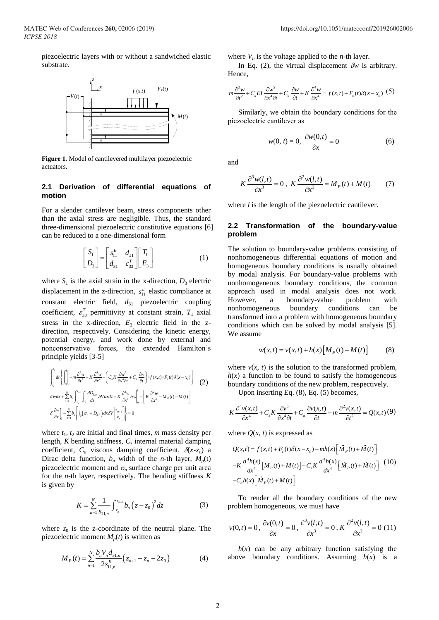piezoelectric layers with or without a sandwiched elastic substrate.



**Figure 1.** Model of cantilevered multilayer piezoelectric actuators.

#### **2.1 Derivation of differential equations of motion**

For a slender cantilever beam, stress components other than the axial stress are negligible. Thus, the standard three-dimensional piezoelectric constitutive equations [6] can be reduced to a one-dimensional form

$$
\begin{bmatrix} S_1 \\ D_3 \end{bmatrix} = \begin{bmatrix} s_{11}^E & d_{31} \\ d_{31} & s_{33}^T \end{bmatrix} \begin{bmatrix} T_1 \\ E_3 \end{bmatrix} \tag{1}
$$

where  $S_1$  is the axial strain in the x-direction,  $D_3$  electric displacement in the z-direction,  $s_{11}^E$  elastic compliance at constant electric field,  $d_{31}$  piezoelectric coupling coefficient,  $\varepsilon_{33}^T$  permittivity at constant strain,  $T_1$  axial stress in the x-direction,  $E_3$  electric field in the zdirection, respectively. Considering the kinetic energy, potential energy, and work done by external and nonconservative forces, the extended Hamilton's principle yields [3-5]

$$
\int_{t_1}^{t_2} dt \left\{ \int_0^t \left[ -m \frac{\partial^2 w}{\partial t^2} - K \frac{\partial^4 w}{\partial x^4} - \left( C_s K \frac{\partial w^5}{\partial x^4 \partial t} + C_a \frac{\partial w}{\partial t} \right) + f(x, t) + F_c(t) \delta(x - x_c) \right] \right\}
$$
\n
$$
\delta w dx + \sum_{n=1}^N b_n \int_{z_n}^{z_{n+1}} \int_0^t \frac{dD_{3,n}}{dz} \delta V dx dz + K \frac{\partial^3 w}{\partial x^3} \delta w \Big|_0^t - \left[ K \frac{\partial^2 w}{\partial x^2} - M_p(t) - M(t) \right]
$$
\n
$$
\delta \frac{\partial w}{\partial x} \Big|_0^t - \sum_{n=1}^N b_n \left[ \int_0^t \left( \sigma_n + D_{3,n} \right) dx \delta V \Big|_{z_n}^{z_{n+1}} \right] \Big|_0^t = 0
$$
\n(2)

where  $t_1$ ,  $t_2$  are initial and final times,  $m$  mass density per length, *K* bending stiffness, *C<sup>s</sup>* internal material damping coefficient,  $C_a$  viscous damping coefficient,  $\delta(x-x_c)$  a Dirac delta function,  $b_n$  width of the *n*-th layer,  $M_p(t)$ piezoelectric moment and  $\sigma_n$  surface charge per unit area for the *n*-th layer, respectively. The bending stiffness *K* is given by

$$
K = \sum_{n=1}^{N} \frac{1}{S_{11,n}} \int_{z_n}^{z_{n+1}} b_n (z - z_0)^2 dz
$$
 (3)

where  $z_0$  is the z-coordinate of the neutral plane. The piezoelectric moment  $M_p(t)$  is written as

$$
M_P(t) = \sum_{n=1}^{N} \frac{b_n V_n d_{31,n}}{2s_{11,n}^E} \left( z_{n+1} + z_n - 2z_0 \right)
$$
 (4)

where  $V_n$  is the voltage applied to the *n*-th layer.

In Eq. (2), the virtual displacement  $\delta w$  is arbitrary. Hence,

$$
m\frac{\partial^2 w}{\partial t^2} + C_s EI \frac{\partial w^5}{\partial x^4 \partial t} + C_a \frac{\partial w}{\partial t} + K \frac{\partial^4 w}{\partial x^4} = f(x, t) + F_c(t) \delta(x - x_c)
$$
 (5)

Similarly, we obtain the boundary conditions for the piezoelectric cantilever as

$$
w(0, t) = 0, \ \frac{\partial w(0, t)}{\partial x} = 0 \tag{6}
$$

and

$$
K\frac{\partial^3 w(l,t)}{\partial x^3} = 0, \ K\frac{\partial^2 w(l,t)}{\partial x^2} = M_p(t) + M(t) \tag{7}
$$

where *l* is the length of the piezoelectric cantilever.

#### **2.2 Transformation of the boundary-value problem**

The solution to boundary-value problems consisting of nonhomogeneous differential equations of motion and homogeneous boundary conditions is usually obtained by modal analysis. For boundary-value problems with nonhomogeneous boundary conditions, the common approach used in modal analysis does not work. However, a boundary-value problem with nonhomogeneous boundary conditions can be transformed into a problem with homogeneous boundary conditions which can be solved by modal analysis [5]. We assume

$$
w(x,t) = v(x,t) + h(x)[M_p(t) + M(t)]
$$
 (8)

where  $v(x, t)$  is the solution to the transformed problem,  $h(x)$  a function to be found to satisfy the homogeneous boundary conditions of the new problem, respectively.

Upon inserting Eq. (8), Eq. (5) becomes,

$$
K\frac{\partial^4 v(x,t)}{\partial x^4} + C_s K \frac{\partial v^5}{\partial x^4 \partial t} + C_a \frac{\partial v(x,t)}{\partial t} + m \frac{\partial^2 v(x,t)}{\partial t^2} = Q(x,t) \tag{9}
$$

where  $Q(x, t)$  is expressed as

$$
Q(x,t) = f(x,t) + F_c(t)\delta(x - x_c) - mh(x)\left[\ddot{M}_p(t) + \ddot{M}(t)\right]
$$

$$
-K\frac{d^4h(x)}{dx^4}\left[M_p(t) + M(t)\right] - C_sK\frac{d^4h(x)}{dx^4}\left[\dot{M}_p(t) + \dot{M}(t)\right] \tag{10}
$$

$$
-C_a h(x)\left[\dot{M}_p(t) + \dot{M}(t)\right]
$$

To render all the boundary conditions of the new problem homogeneous, we must have

$$
v(0,t) = 0, \frac{\partial v(0,t)}{\partial x} = 0, \frac{\partial^3 v(l,t)}{\partial x^3} = 0, K \frac{\partial^2 v(l,t)}{\partial x^2} = 0
$$
 (11)

 $h(x)$  can be any arbitrary function satisfying the above boundary conditions. Assuming *h*(*x*) is a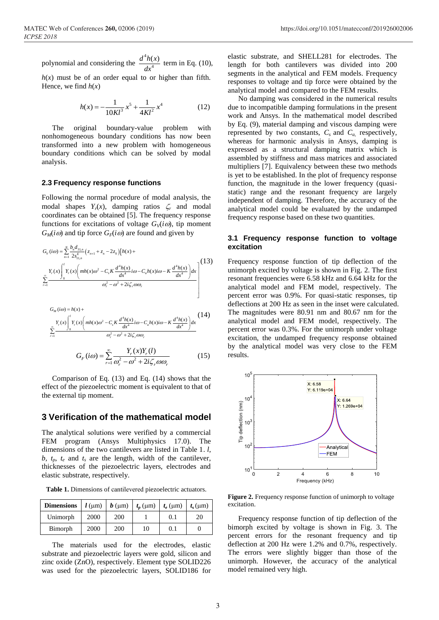polynomial and considering the  $\frac{d^4}{dx^4}$ 4  $d^4h(x)$ *dx* term in Eq. (10),

 $h(x)$  must be of an order equal to or higher than fifth. Hence, we find  $h(x)$ 

$$
h(x) = -\frac{1}{10Kl^3}x^5 + \frac{1}{4Kl^2}x^4\tag{12}
$$

The original boundary-value problem with nonhomogeneous boundary conditions has now been transformed into a new problem with homogeneous boundary conditions which can be solved by modal analysis.

#### **2.3 Frequency response functions**

Following the normal procedure of modal analysis, the modal shapes  $Y_r(x)$ , damping ratios  $\zeta_r$  and modal coordinates can be obtained [5]. The frequency response functions for excitations of voltage  $G_V(i\omega)$ , tip moment  $G_M(i\omega)$  and tip force  $G_F(i\omega)$  are found and given by

$$
G_V(i\omega) = \sum_{n=1}^{N} \frac{b_n d_{31,n}}{2s_{11,n}^E} \left( z_{n+1} + z_n - 2z_0 \right) \left[ h(x) + \frac{V}{2} \left( \frac{V}{2} \right) \left( \frac{V}{2} \right) \left( \frac{V}{2} \right) \left( \frac{V}{2} \right) \left( \frac{V}{2} \right) \left( \frac{V}{2} \right) \left( \frac{V}{2} \right) \left( \frac{V}{2} \right) \left( \frac{V}{2} \right) \left( \frac{V}{2} \right) \left( \frac{V}{2} \right) \left( \frac{V}{2} \right) \left( \frac{V}{2} \right) \left( \frac{V}{2} \right) \left( \frac{V}{2} \right) \left( \frac{V}{2} \right) \left( \frac{V}{2} \right) \left( \frac{V}{2} \right) \left( \frac{V}{2} \right) \left( \frac{V}{2} \right) \left( \frac{V}{2} \right) \left( \frac{V}{2} \right) \left( \frac{V}{2} \right) \left( \frac{V}{2} \right) \left( \frac{V}{2} \right) \left( \frac{V}{2} \right) \left( \frac{V}{2} \right) \left( \frac{V}{2} \right) \left( \frac{V}{2} \right) \left( \frac{V}{2} \right) \left( \frac{V}{2} \right) \left( \frac{V}{2} \right) \left( \frac{V}{2} \right) \left( \frac{V}{2} \right) \left( \frac{V}{2} \right) \left( \frac{V}{2} \right) \left( \frac{V}{2} \right) \left( \frac{V}{2} \right) \left( \frac{V}{2} \right) \left( \frac{V}{2} \right) \left( \frac{V}{2} \right) \left( \frac{V}{2} \right) \left( \frac{V}{2} \right) \left( \frac{V}{2} \right) \left( \frac{V}{2} \right) \left( \frac{V}{2} \right) \left( \frac{V}{2} \right) \left( \frac{V}{2} \right) \left( \frac{V}{2} \right) \left( \frac{V}{2} \right) \left( \frac{V}{2} \right) \left( \frac{V}{2} \right) \left( \frac{V}{2
$$

$$
G_M(i\omega) = h(x) +
$$
\n
$$
\sum_{r=1}^{\infty} \frac{Y_r(x) \int_0^l Y_r(x) \left( mh(x)\omega^2 - C_s K \frac{d^4 h(x)}{dx^4} i\omega - C_a h(x) i\omega - K \frac{d^4 h(x)}{dx^4} \right) dx}{\omega_r^2 - \omega^2 + 2i\zeta_r \omega \omega_r}
$$
\n
$$
G_F(i\omega) = \sum_{r=1}^{\infty} \frac{Y_r(x) Y_r(l)}{\omega_r^2 - \omega^2 + 2i\zeta_r \omega \omega_r}
$$
\n(15)

Comparison of Eq. (13) and Eq. (14) shows that the effect of the piezoelectric moment is equivalent to that of the external tip moment.

#### **3 Verification of the mathematical model**

The analytical solutions were verified by a commercial FEM program (Ansys Multiphysics 17.0). The dimensions of the two cantilevers are listed in Table 1. *l*,  $b, t_p, t_e$  and  $t_s$  are the length, width of the cantilever, thicknesses of the piezoelectric layers, electrodes and elastic substrate, respectively.

**Table 1.** Dimensions of cantilevered piezoelectric actuators.

| <b>Dimensions</b> | $l$ (um) | $\mid b \text{ } (\mu \text{m}) \mid t_p \text{ } (\mu \text{m}) \mid$ |    | $t_e$ (µm) | $t_{\rm s}$ (µm) |
|-------------------|----------|------------------------------------------------------------------------|----|------------|------------------|
| Unimorph          | 2000     | <b>200</b>                                                             |    | 0.1        | 20               |
| Bimorph           | 2000     | 200                                                                    | 10 | 0.1        |                  |

The materials used for the electrodes, elastic substrate and piezoelectric layers were gold, silicon and zinc oxide (ZnO), respectively. Element type SOLID226 was used for the piezoelectric layers, SOLID186 for

elastic substrate, and SHELL281 for electrodes. The length for both cantilevers was divided into 200 segments in the analytical and FEM models. Frequency responses to voltage and tip force were obtained by the analytical model and compared to the FEM results.

No damping was considered in the numerical results due to incompatible damping formulations in the present work and Ansys. In the mathematical model described by Eq. (9), material damping and viscous damping were represented by two constants,  $C_s$  and  $C_a$  respectively, whereas for harmonic analysis in Ansys, damping is expressed as a structural damping matrix which is assembled by stiffness and mass matrices and associated multipliers [7]. Equivalency between these two methods is yet to be established. In the plot of frequency response function, the magnitude in the lower frequency (quasistatic) range and the resonant frequency are largely independent of damping. Therefore, the accuracy of the analytical model could be evaluated by the undamped frequency response based on these two quantities.

#### **3.1 Frequency response function to voltage excitation**

Frequency response function of tip deflection of the unimorph excited by voltage is shown in Fig. 2. The first resonant frequencies were 6.58 kHz and 6.64 kHz for the analytical model and FEM model, respectively. The percent error was 0.9%. For quasi-static responses, tip deflections at 200 Hz as seen in the inset were calculated. The magnitudes were 80.91 nm and 80.67 nm for the analytical model and FEM model, respectively. The percent error was 0.3%. For the unimorph under voltage excitation, the undamped frequency response obtained by the analytical model was very close to the FEM results.



**Figure 2.** Frequency response function of unimorph to voltage excitation.

Frequency response function of tip deflection of the bimorph excited by voltage is shown in Fig. 3. The percent errors for the resonant frequency and tip deflection at 200 Hz were 1.2% and 0.7%, respectively. The errors were slightly bigger than those of the unimorph. However, the accuracy of the analytical model remained very high.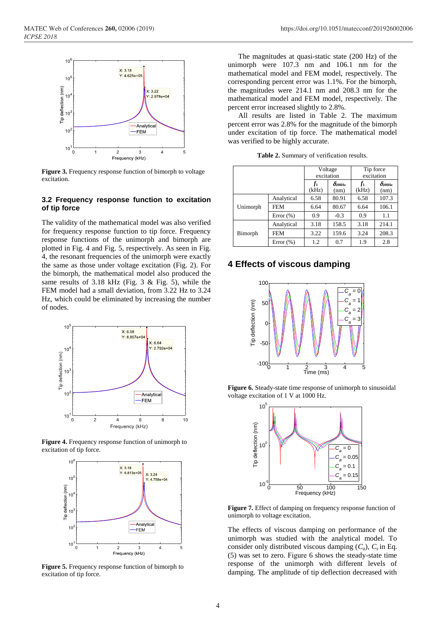

**Figure 3.** Frequency response function of bimorph to voltage excitation.

#### **3.2 Frequency response function to excitation of tip force**

The validity of the mathematical model was also verified for frequency response function to tip force. Frequency response functions of the unimorph and bimorph are plotted in Fig. 4 and Fig. 5, respectively. As seen in Fig. 4, the resonant frequencies of the unimorph were exactly the same as those under voltage excitation (Fig. 2). For the bimorph, the mathematical model also produced the same results of 3.18 kHz (Fig. 3 & Fig. 5), while the FEM model had a small deviation, from 3.22 Hz to 3.24 Hz, which could be eliminated by increasing the number of nodes.



**Figure 4.** Frequency response function of unimorph to excitation of tip force.



**Figure 5.** Frequency response function of bimorph to excitation of tip force.

The magnitudes at quasi-static state (200 Hz) of the unimorph were 107.3 nm and 106.1 nm for the mathematical model and FEM model, respectively. The corresponding percent error was 1.1%. For the bimorph, the magnitudes were 214.1 nm and 208.3 nm for the mathematical model and FEM model, respectively. The percent error increased slightly to 2.8%.

All results are listed in Table 2. The maximum percent error was 2.8% for the magnitude of the bimorph under excitation of tip force. The mathematical model was verified to be highly accurate.

**Table 2.** Summary of verification results.

|          |               | Voltage<br>excitation   |                              | Tip force<br>excitation |                              |
|----------|---------------|-------------------------|------------------------------|-------------------------|------------------------------|
|          |               | f <sub>1</sub><br>(kHz) | $\delta_{\rm 200Hz}$<br>(nm) | f1<br>(kHz)             | $\delta_{\rm 200Hz}$<br>(nm) |
| Unimorph | Analytical    | 6.58                    | 80.91                        | 6.58                    | 107.3                        |
|          | <b>FEM</b>    | 6.64                    | 80.67                        | 6.64                    | 106.1                        |
|          | Error $(\% )$ | 0.9                     | $-0.3$                       | 0.9                     | 1.1                          |
| Bimorph  | Analytical    | 3.18                    | 158.5                        | 3.18                    | 214.1                        |
|          | <b>FEM</b>    | 3.22                    | 159.6                        | 3.24                    | 208.3                        |
|          | Error $(\% )$ | 1.2                     | 0.7                          | 1.9                     | 2.8                          |

### **4 Effects of viscous damping**



**Figure 6.** Steady-state time response of unimorph to sinusoidal voltage excitation of 1 V at 1000 Hz.



**Figure 7.** Effect of damping on frequency response function of unimorph to voltage excitation.

The effects of viscous damping on performance of the unimorph was studied with the analytical model. To consider only distributed viscous damping  $(C_a)$ ,  $C_s$  in Eq. (5) was set to zero. Figure 6 shows the steady-state time response of the unimorph with different levels of damping. The amplitude of tip deflection decreased with